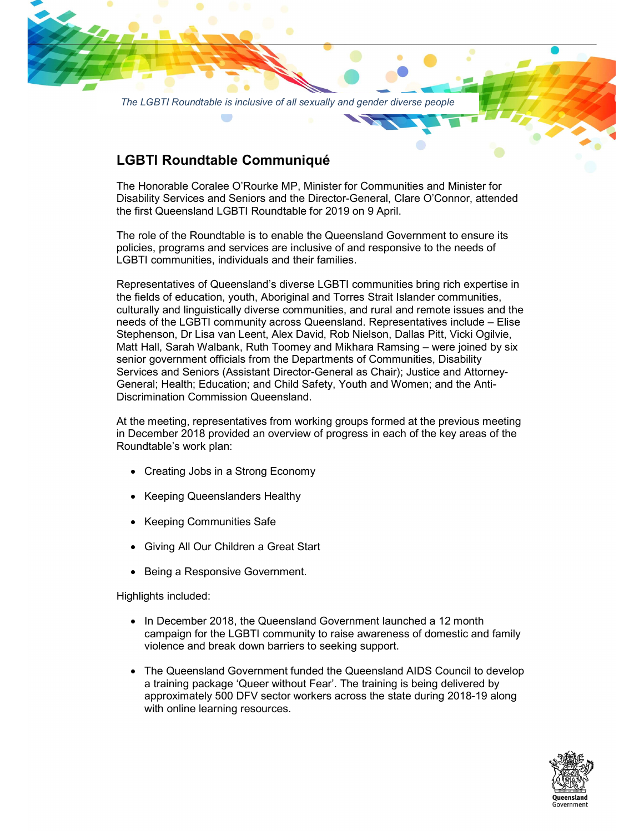

The LGBTI Roundtable is inclusive of all sexually and gender diverse people

## LGBTI Roundtable Communiqué

The Honorable Coralee O'Rourke MP, Minister for Communities and Minister for Disability Services and Seniors and the Director-General, Clare O'Connor, attended the first Queensland LGBTI Roundtable for 2019 on 9 April.

The role of the Roundtable is to enable the Queensland Government to ensure its policies, programs and services are inclusive of and responsive to the needs of LGBTI communities, individuals and their families.

Representatives of Queensland's diverse LGBTI communities bring rich expertise in the fields of education, youth, Aboriginal and Torres Strait Islander communities, culturally and linguistically diverse communities, and rural and remote issues and the needs of the LGBTI community across Queensland. Representatives include – Elise Stephenson, Dr Lisa van Leent, Alex David, Rob Nielson, Dallas Pitt, Vicki Ogilvie, Matt Hall, Sarah Walbank, Ruth Toomey and Mikhara Ramsing – were joined by six senior government officials from the Departments of Communities, Disability Services and Seniors (Assistant Director-General as Chair); Justice and Attorney-General; Health; Education; and Child Safety, Youth and Women; and the Anti-Discrimination Commission Queensland.

At the meeting, representatives from working groups formed at the previous meeting in December 2018 provided an overview of progress in each of the key areas of the Roundtable's work plan:

- Creating Jobs in a Strong Economy
- Keeping Queenslanders Healthy
- Keeping Communities Safe
- Giving All Our Children a Great Start
- Being a Responsive Government.

Highlights included:

- In December 2018, the Queensland Government launched a 12 month campaign for the LGBTI community to raise awareness of domestic and family violence and break down barriers to seeking support.
- The Queensland Government funded the Queensland AIDS Council to develop a training package 'Queer without Fear'. The training is being delivered by approximately 500 DFV sector workers across the state during 2018-19 along with online learning resources.